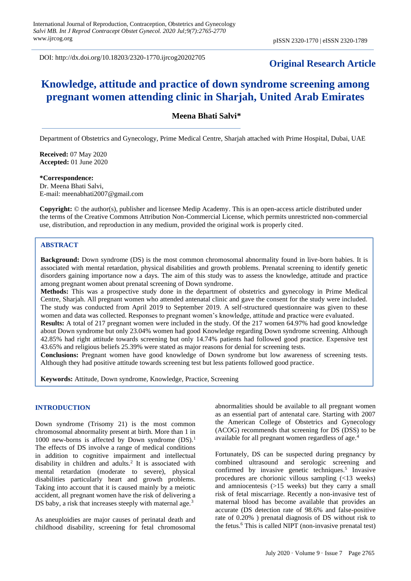DOI: http://dx.doi.org/10.18203/2320-1770.ijrcog20202705

## **Original Research Article**

# **Knowledge, attitude and practice of down syndrome screening among pregnant women attending clinic in Sharjah, United Arab Emirates**

## **Meena Bhati Salvi\***

Department of Obstetrics and Gynecology, Prime Medical Centre, Sharjah attached with Prime Hospital, Dubai, UAE

**Received:** 07 May 2020 **Accepted:** 01 June 2020

**\*Correspondence:** Dr. Meena Bhati Salvi, E-mail: meenabhati2007@gmail.com

**Copyright:** © the author(s), publisher and licensee Medip Academy. This is an open-access article distributed under the terms of the Creative Commons Attribution Non-Commercial License, which permits unrestricted non-commercial use, distribution, and reproduction in any medium, provided the original work is properly cited.

## **ABSTRACT**

**Background:** Down syndrome (DS) is the most common chromosomal abnormality found in live-born babies. It is associated with mental retardation, physical disabilities and growth problems. Prenatal screening to identify genetic disorders gaining importance now a days. The aim of this study was to assess the knowledge, attitude and practice among pregnant women about prenatal screening of Down syndrome.

**Methods:** This was a prospective study done in the department of obstetrics and gynecology in Prime Medical Centre, Sharjah. All pregnant women who attended antenatal clinic and gave the consent for the study were included. The study was conducted from April 2019 to September 2019. A self-structured questionnaire was given to these women and data was collected. Responses to pregnant women's knowledge, attitude and practice were evaluated. **Results:** A total of 217 pregnant women were included in the study. Of the 217 women 64.97% had good knowledge

about Down syndrome but only 23.04% women had good Knowledge regarding Down syndrome screening. Although 42.85% had right attitude towards screening but only 14.74% patients had followed good practice. Expensive test 43.65% and religious beliefs 25.39% were stated as major reasons for denial for screening tests.

**Conclusions:** Pregnant women have good knowledge of Down syndrome but low awareness of screening tests. Although they had positive attitude towards screening test but less patients followed good practice.

**Keywords:** Attitude, Down syndrome, Knowledge, Practice, Screening

#### **INTRODUCTION**

Down syndrome (Trisomy 21) is the most common chromosomal abnormality present at birth. More than 1 in 1000 new-borns is affected by Down syndrome  $(DS)$ .<sup>1</sup> The effects of DS involve a range of medical conditions in addition to cognitive impairment and intellectual disability in children and adults.<sup>2</sup> It is associated with mental retardation (moderate to severe), physical disabilities particularly heart and growth problems. Taking into account that it is caused mainly by a meiotic accident, all pregnant women have the risk of delivering a DS baby, a risk that increases steeply with maternal age.<sup>3</sup>

As aneuploidies are major causes of perinatal death and childhood disability, screening for fetal chromosomal abnormalities should be available to all pregnant women as an essential part of antenatal care. Starting with 2007 the American College of Obstetrics and Gynecology (ACOG) recommends that screening for DS (DSS) to be available for all pregnant women regardless of age.<sup>4</sup>

Fortunately, DS can be suspected during pregnancy by combined ultrasound and serologic screening and confirmed by invasive genetic techniques.<sup>5</sup> Invasive procedures are chorionic villous sampling (<13 weeks) and amniocentesis (>15 weeks) but they carry a small risk of fetal miscarriage. Recently a non-invasive test of maternal blood has become available that provides an accurate (DS detection rate of 98.6% and false-positive rate of 0.20% ) prenatal diagnosis of DS without risk to the fetus.<sup>6</sup> This is called NIPT (non-invasive prenatal test)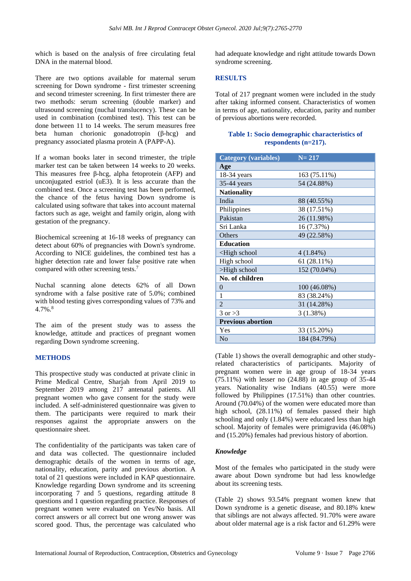which is based on the analysis of free circulating fetal DNA in the maternal blood.

There are two options available for maternal serum screening for Down syndrome - first trimester screening and second trimester screening. In first trimester there are two methods: serum screening (double marker) and ultrasound screening (nuchal translucency). These can be used in combination (combined test). This test can be done between 11 to 14 weeks. The serum measures free beta human chorionic gonadotropin (β-hcg) and pregnancy associated plasma protein A (PAPP-A).

If a woman books later in second trimester, the triple marker test can be taken between 14 weeks to 20 weeks. This measures free β-hcg, alpha fetoprotein (AFP) and unconjugated estriol (uE3). It is less accurate than the combined test. Once a screening test has been performed, the chance of the fetus having Down syndrome is calculated using software that takes into account maternal factors such as age, weight and family origin, along with gestation of the pregnancy.

Biochemical screening at 16-18 weeks of pregnancy can detect about 60% of pregnancies with Down's syndrome. According to NICE guidelines, the combined test has a higher detection rate and lower false positive rate when compared with other screening tests.<sup>7</sup>

Nuchal scanning alone detects 62% of all Down syndrome with a false positive rate of 5.0%; combined with blood testing gives corresponding values of 73% and  $4.7\%$ .<sup>8</sup>

The aim of the present study was to assess the knowledge, attitude and practices of pregnant women regarding Down syndrome screening.

## **METHODS**

This prospective study was conducted at private clinic in Prime Medical Centre, Sharjah from April 2019 to September 2019 among 217 antenatal patients. All pregnant women who gave consent for the study were included. A self-administered questionnaire was given to them. The participants were required to mark their responses against the appropriate answers on the questionnaire sheet.

The confidentiality of the participants was taken care of and data was collected. The questionnaire included demographic details of the women in terms of age, nationality, education, parity and previous abortion. A total of 21 questions were included in KAP questionnaire. Knowledge regarding Down syndrome and its screening incorporating 7 and 5 questions, regarding attitude 8 questions and 1 question regarding practice. Responses of pregnant women were evaluated on Yes/No basis. All correct answers or all correct but one wrong answer was scored good. Thus, the percentage was calculated who had adequate knowledge and right attitude towards Down syndrome screening.

## **RESULTS**

Total of 217 pregnant women were included in the study after taking informed consent. Characteristics of women in terms of age, nationality, education, parity and number of previous abortions were recorded.

### **Table 1: Socio demographic characteristics of respondents (n=217).**

| <b>Category (variables)</b>                                   | $N = 217$    |
|---------------------------------------------------------------|--------------|
| Age                                                           |              |
| $18-34$ years                                                 | 163 (75.11%) |
| 35-44 years                                                   | 54 (24.88%)  |
| <b>Nationality</b>                                            |              |
| India                                                         | 88 (40.55%)  |
| Philippines                                                   | 38 (17.51%)  |
| Pakistan                                                      | 26 (11.98%)  |
| Sri Lanka                                                     | 16 (7.37%)   |
| Others                                                        | 49 (22.58%)  |
| <b>Education</b>                                              |              |
| <high school<="" td=""><td><math>4(1.84\%)</math></td></high> | $4(1.84\%)$  |
| High school                                                   | 61 (28.11%)  |
| >High school                                                  | 152 (70.04%) |
| No. of children                                               |              |
| $\Omega$                                                      | 100 (46.08%) |
| 1                                                             | 83 (38.24%)  |
| $\overline{2}$                                                | 31 (14.28%)  |
| $3 \text{ or } >3$                                            | 3(1.38%)     |
| <b>Previous abortion</b>                                      |              |
| Yes                                                           | 33 (15.20%)  |
| No                                                            | 184 (84.79%) |

(Table 1) shows the overall demographic and other studyrelated characteristics of participants. Majority of pregnant women were in age group of 18-34 years (75.11%) with lesser no (24.88) in age group of 35-44 years. Nationality wise Indians (40.55) were more followed by Philippines (17.51%) than other countries. Around (70.04%) of the women were educated more than high school, (28.11%) of females passed their high schooling and only (1.84%) were educated less than high school. Majority of females were primigravida (46.08%) and (15.20%) females had previous history of abortion.

## *Knowledge*

Most of the females who participated in the study were aware about Down syndrome but had less knowledge about its screening tests.

(Table 2) shows 93.54% pregnant women knew that Down syndrome is a genetic disease, and 80.18% knew that siblings are not always affected. 91.70% were aware about older maternal age is a risk factor and 61.29% were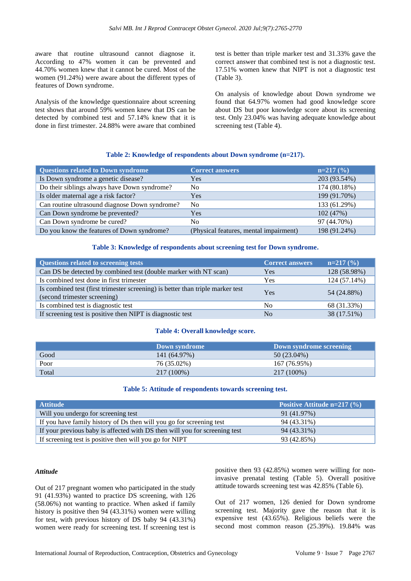aware that routine ultrasound cannot diagnose it. According to 47% women it can be prevented and 44.70% women knew that it cannot be cured. Most of the women (91.24%) were aware about the different types of features of Down syndrome.

Analysis of the knowledge questionnaire about screening test shows that around 59% women knew that DS can be detected by combined test and 57.14% knew that it is done in first trimester. 24.88% were aware that combined test is better than triple marker test and 31.33% gave the correct answer that combined test is not a diagnostic test. 17.51% women knew that NIPT is not a diagnostic test (Table 3).

On analysis of knowledge about Down syndrome we found that 64.97% women had good knowledge score about DS but poor knowledge score about its screening test. Only 23.04% was having adequate knowledge about screening test (Table 4).

## **Table 2: Knowledge of respondents about Down syndrome (n=217).**

| <b>Questions related to Down syndrome</b>      | <b>Correct answers</b>                 | $n=217$ (%)  |
|------------------------------------------------|----------------------------------------|--------------|
| Is Down syndrome a genetic disease?            | Yes                                    | 203 (93.54%) |
| Do their siblings always have Down syndrome?   | N <sub>0</sub>                         | 174 (80.18%) |
| Is older maternal age a risk factor?           | <b>Yes</b>                             | 199 (91.70%) |
| Can routine ultrasound diagnose Down syndrome? | N <sub>0</sub>                         | 133 (61.29%) |
| Can Down syndrome be prevented?                | Yes                                    | 102(47%)     |
| Can Down syndrome be cured?                    | No.                                    | 97 (44.70%)  |
| Do you know the features of Down syndrome?     | (Physical features, mental impairment) | 198 (91.24%) |

#### **Table 3: Knowledge of respondents about screening test for Down syndrome.**

| <b>Questions related to screening tests</b>                                                                    | <b>Correct answers</b> | $n=217(%)$   |
|----------------------------------------------------------------------------------------------------------------|------------------------|--------------|
| Can DS be detected by combined test (double marker with NT scan)                                               | Yes                    | 128 (58.98%) |
| Is combined test done in first trimester                                                                       | <b>Yes</b>             | 124(57.14%)  |
| Is combined test (first trimester screening) is better than triple marker test<br>(second trimester screening) | Yes                    | 54 (24.88%)  |
| Is combined test is diagnostic test                                                                            | N <sub>0</sub>         | 68 (31.33%)  |
| If screening test is positive then NIPT is diagnostic test                                                     | No                     | 38 (17.51%)  |

#### **Table 4: Overall knowledge score.**

|       | Down syndrome | Down syndrome screening |
|-------|---------------|-------------------------|
| Good  | 141 (64.97%)  | $50(23.04\%)$           |
| Poor  | 76 (35.02%)   | 167 (76.95%)            |
| Total | 217 (100%)    | 217 (100%)              |

## **Table 5: Attitude of respondents towards screening test.**

| <b>Attitude</b>                                                            | Positive Attitude $n=217$ (%) |
|----------------------------------------------------------------------------|-------------------------------|
| Will you undergo for screening test                                        | 91 (41.97%)                   |
| If you have family history of Ds then will you go for screening test       | 94 (43.31%)                   |
| If your previous baby is affected with DS then will you for screening test | 94 (43.31%)                   |
| If screening test is positive then will you go for NIPT                    | 93 (42.85%)                   |

#### *Attitude*

Out of 217 pregnant women who participated in the study 91 (41.93%) wanted to practice DS screening, with 126 (58.06%) not wanting to practice. When asked if family history is positive then 94 (43.31%) women were willing for test, with previous history of DS baby 94 (43.31%) women were ready for screening test. If screening test is

positive then 93 (42.85%) women were willing for noninvasive prenatal testing (Table 5). Overall positive attitude towards screening test was 42.85% (Table 6).

Out of 217 women, 126 denied for Down syndrome screening test. Majority gave the reason that it is expensive test (43.65%). Religious beliefs were the second most common reason (25.39%). 19.84% was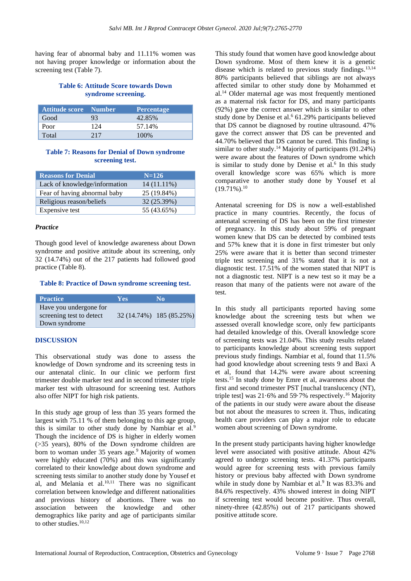having fear of abnormal baby and 11.11% women was not having proper knowledge or information about the screening test (Table 7).

### **Table 6: Attitude Score towards Down syndrome screening.**

| Attitude score Number |     | <b>Percentage</b> |
|-----------------------|-----|-------------------|
| Good                  | 93  | 42.85%            |
| Poor                  | 124 | 57.14%            |
| Total                 | 217 | 100%              |

#### **Table 7: Reasons for Denial of Down syndrome screening test.**

| <b>Reasons for Denial</b>     | $N = 126$     |
|-------------------------------|---------------|
| Lack of knowledge/information | $14(11.11\%)$ |
| Fear of having abnormal baby  | 25 (19.84%)   |
| Religious reason/beliefs      | 32 (25.39%)   |
| Expensive test                | 55 (43.65%)   |

#### *Practice*

Though good level of knowledge awareness about Down syndrome and positive attitude about its screening, only 32 (14.74%) out of the 217 patients had followed good practice (Table 8).

#### **Table 8: Practice of Down syndrome screening test.**

| <b>Practice</b>          | <b>Yes</b> | No.                      |
|--------------------------|------------|--------------------------|
| Have you undergone for   |            |                          |
| screening test to detect |            | 32 (14.74%) 185 (85.25%) |
| Down syndrome            |            |                          |

#### **DISCUSSION**

This observational study was done to assess the knowledge of Down syndrome and its screening tests in our antenatal clinic. In our clinic we perform first trimester double marker test and in second trimester triple marker test with ultrasound for screening test. Authors also offer NIPT for high risk patients.

In this study age group of less than 35 years formed the largest with 75.11 % of them belonging to this age group. this is similar to other study done by Nambiar et al.<sup>9</sup> Though the incidence of DS is higher in elderly women (>35 years), 80% of the Down syndrome children are born to woman under 35 years age.<sup>9</sup> Majority of women were highly educated (70%) and this was significantly correlated to their knowledge about down syndrome and screening tests similar to another study done by Yousef et al, and Melania et al. $10,11$  There was no significant correlation between knowledge and different nationalities and previous history of abortions. There was no association between the knowledge and other demographics like parity and age of participants similar to other studies.<sup>10,12</sup>

This study found that women have good knowledge about Down syndrome. Most of them knew it is a genetic disease which is related to previous study findings.<sup>13,14</sup> 80% participants believed that siblings are not always affected similar to other study done by Mohammed et al.<sup>14</sup> Older maternal age was most frequently mentioned as a maternal risk factor for DS, and many participants (92%) gave the correct answer which is similar to other study done by Denise et al.<sup>6</sup> 61.29% participants believed that DS cannot be diagnosed by routine ultrasound. 47% gave the correct answer that DS can be prevented and 44.70% believed that DS cannot be cured. This finding is similar to other study.<sup>14</sup> Majority of participants  $(91.24\%)$ were aware about the features of Down syndrome which is similar to study done by Denise et al. $<sup>6</sup>$  In this study</sup> overall knowledge score was 65% which is more comparative to another study done by Yousef et al  $(19.71\%)$ <sup>10</sup>

Antenatal screening for DS is now a well-established practice in many countries. Recently, the focus of antenatal screening of DS has been on the first trimester of pregnancy. In this study about 59% of pregnant women knew that DS can be detected by combined tests and 57% knew that it is done in first trimester but only 25% were aware that it is better than second trimester triple test screening and 31% stated that it is not a diagnostic test. 17.51% of the women stated that NIPT is not a diagnostic test. NIPT is a new test so it may be a reason that many of the patients were not aware of the test.

In this study all participants reported having some knowledge about the screening tests but when we assessed overall knowledge score, only few participants had detailed knowledge of this. Overall knowledge score of screening tests was 21.04%. This study results related to participants knowledge about screening tests support previous study findings. Nambiar et al, found that 11.5% had good knowledge about screening tests 9 and Baxi A et al, found that 14.2% were aware about screening tests.<sup>15</sup> In study done by Emre et al, awareness about the first and second trimester PST [nuchal translucency (NT), triple test] was 21·6% and 59·7% respectively.<sup>16</sup> Majority of the patients in our study were aware about the disease but not about the measures to screen it. Thus, indicating health care providers can play a major role to educate women about screening of Down syndrome.

In the present study participants having higher knowledge level were associated with positive attitude. About 42% agreed to undergo screening tests. 41.37% participants would agree for screening tests with previous family history or previous baby affected with Down syndrome while in study done by Nambiar et al.<sup>9</sup> It was 83.3% and 84.6% respectively. 43% showed interest in doing NIPT if screening test would become positive. Thus overall, ninety-three (42.85%) out of 217 participants showed positive attitude score.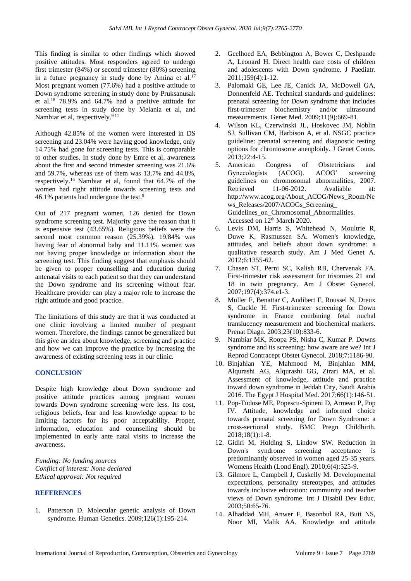This finding is similar to other findings which showed positive attitudes. Most responders agreed to undergo first trimester (84%) or second trimester (80%) screening in a future pregnancy in study done by Amina et al.<sup>17</sup> Most pregnant women (77.6%) had a positive attitude to Down syndrome screening in study done by Pruksanusak et al.<sup>18</sup> 78.9% and 64.7% had a positive attitude for screening tests in study done by Melania et al, and Nambiar et al, respectively.<sup>9,11</sup>

Although 42.85% of the women were interested in DS screening and 23.04% were having good knowledge, only 14.75% had gone for screening tests. This is comparable to other studies. In study done by Emre et al, awareness about the first and second trimester screening was 21.6% and 59.7%, whereas use of them was 13.7% and 44.8%, respectively.<sup>16</sup> Nambiar et al, found that 64.7% of the women had right attitude towards screening tests and 46.1% patients had undergone the test.<sup>9</sup>

Out of 217 pregnant women, 126 denied for Down syndrome screening test. Majority gave the reason that it is expensive test (43.65%). Religious beliefs were the second most common reason (25.39%). 19.84% was having fear of abnormal baby and 11.11% women was not having proper knowledge or information about the screening test. This finding suggest that emphasis should be given to proper counselling and education during antenatal visits to each patient so that they can understand the Down syndrome and its screening without fear. Healthcare provider can play a major role to increase the right attitude and good practice.

The limitations of this study are that it was conducted at one clinic involving a limited number of pregnant women. Therefore, the findings cannot be generalized but this give an idea about knowledge, screening and practice and how we can improve the practice by increasing the awareness of existing screening tests in our clinic.

## **CONCLUSION**

Despite high knowledge about Down syndrome and positive attitude practices among pregnant women towards Down syndrome screening were less. Its cost, religious beliefs, fear and less knowledge appear to be limiting factors for its poor acceptability. Proper, information, education and counselling should be implemented in early ante natal visits to increase the awareness.

*Funding: No funding sources Conflict of interest: None declared Ethical approval: Not required*

#### **REFERENCES**

1. Patterson D. Molecular genetic analysis of Down syndrome. Human Genetics. 2009;126(1):195-214.

- 2. Geelhoed EA, Bebbington A, Bower C, Deshpande A, Leonard H. Direct health care costs of children and adolescents with Down syndrome. J Paediatr. 2011;159(4):1-12.
- 3. Palomaki GE, Lee JE, Canick JA, McDowell GA, Donnenfeld AE. Technical standards and guidelines: prenatal screening for Down syndrome that includes first-trimester biochemistry and/or ultrasound measurements. Genet Med. 2009;11(9):669-81.
- 4. Wilson KL, Czerwinski JL, Hoskovec JM, Noblin SJ, Sullivan CM, Harbison A, et al. NSGC practice guideline: prenatal screening and diagnostic testing options for chromosome aneuploidy. J Genet Couns. 2013;22:4-15.
- 5. American Congress of Obstetricians and Gynecologists (ACOG). ACOG' screening guidelines on chromosomal abnormalities, 2007. Retrieved 11-06-2012. Avaliable at: http://www.acog.org/About\_ACOG/News\_Room/Ne ws\_Releases/2007/ACOGs\_Screening\_ Guidelines\_on\_Chromosomal\_Abnormalities. Accessed on  $12<sup>th</sup>$  March 2020.
- 6. Levis DM, Harris S, Whitehead N, Moultrie R, Duwe K, Rasmussen SA. Women's knowledge, attitudes, and beliefs about down syndrome: a qualitative research study. Am J Med Genet A. 2012;6:1355-62.
- 7. Chasen ST, Perni SC, Kalish RB, Chervenak FA. First-trimester risk assessment for trisomies 21 and 18 in twin pregnancy. Am J Obstet Gynecol. 2007;197(4):374.e1-3.
- 8. Muller F, Benattar C, Audibert F, Roussel N, Dreux S, Cuckle H. First-trimester screening for Down syndrome in France combining fetal nuchal translucency measurement and biochemical markers. Prenat Diagn. 2003;23(10):833-6.
- 9. Nambiar MK, Roopa PS, Nisha C, Kumar P. Downs syndrome and its screening: how aware are we? Int J Reprod Contracept Obstet Gynecol. 2018;7:1186-90.
- 10. Binjahlan YE, Mahmood M, Binjahlan MM, Alqurashi AG, Alqurashi GG, Zirari MA, et al. Assessment of knowledge, attitude and practice toward down syndrome in Jeddah City, Saudi Arabia 2016. The Egypt J Hospital Med. 2017;66(1):146-51.
- 11. Pop-Tudose ME, Popescu-Spineni D, Armean P, Pop IV. Attitude, knowledge and informed choice towards prenatal screening for Down Syndrome: a cross-sectional study. BMC Pregn Childbirth. 2018;18(1):1-8.
- 12. Gidiri M, Holding S, Lindow SW. Reduction in Down's syndrome screening acceptance is predominantly observed in women aged 25-35 years. Womens Health (Lond Engl). 2010;6(4):525-9.
- 13. Gilmore L, Campbell J, Cuskelly M. Developmental expectations, personality stereotypes, and attitudes towards inclusive education: community and teacher views of Down syndrome. Int J Disabil Dev Educ. 2003;50:65-76.
- 14. Alhaddad MH, Anwer F, Basonbul RA, Butt NS, Noor MI, Malik AA. Knowledge and attitude